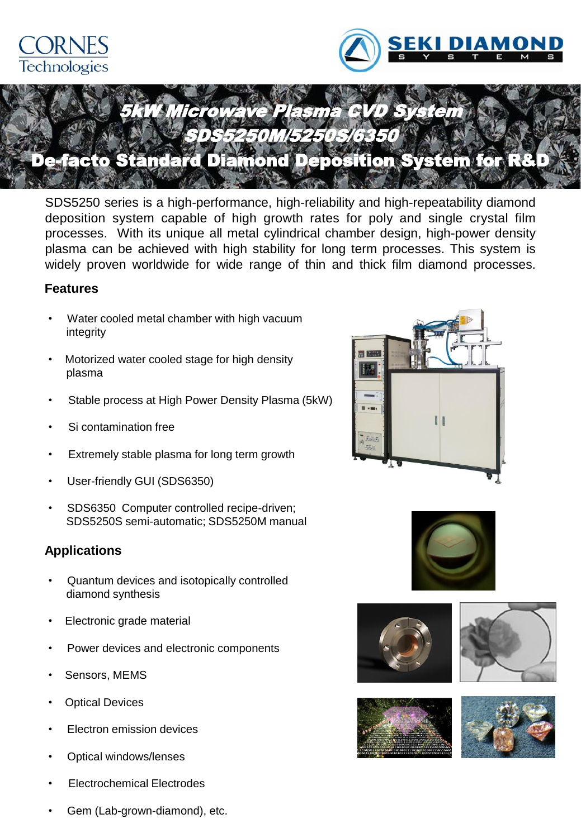



# 5kW Microwave Plasma CVD System SDS5250M/5250S/6350

## acto Standard Diamond Deposition System for R&

SDS5250 series is a high-performance, high-reliability and high-repeatability diamond deposition system capable of high growth rates for poly and single crystal film processes. With its unique all metal cylindrical chamber design, high-power density plasma can be achieved with high stability for long term processes. This system is widely proven worldwide for wide range of thin and thick film diamond processes.

#### **Features**

- Water cooled metal chamber with high vacuum integrity
- Motorized water cooled stage for high density plasma
- Stable process at High Power Density Plasma (5kW)
- Si contamination free
- Extremely stable plasma for long term growth
- User-friendly GUI (SDS6350)
- SDS6350 Computer controlled recipe-driven; SDS5250S semi-automatic; SDS5250M manual

### **Applications**

- Quantum devices and isotopically controlled diamond synthesis
- **Electronic grade material**
- Power devices and electronic components
- Sensors, MEMS
- **Optical Devices**
- **Electron emission devices**
- **Optical windows/lenses**
- **Electrochemical Electrodes**







Gem (Lab-grown-diamond), etc.